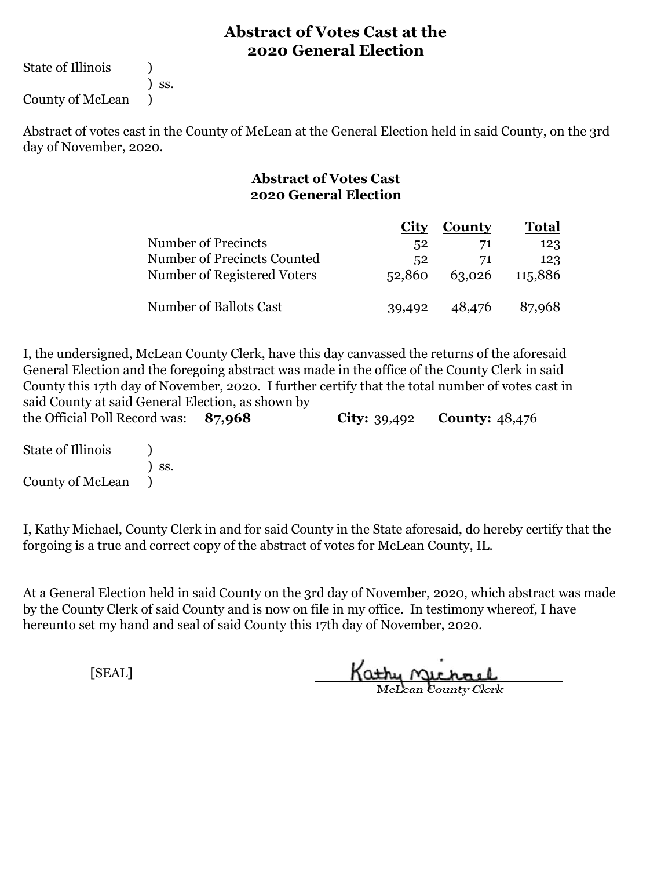State of Illinois (1)

) ss.

County of McLean )

Abstract of votes cast in the County of McLean at the General Election held in said County, on the 3rd day of November, 2020.

#### **Abstract of Votes Cast 2020 General Election**

|                             | <b>City</b> | <b>County</b> | <b>Total</b> |  |
|-----------------------------|-------------|---------------|--------------|--|
| <b>Number of Precincts</b>  | 52          | 71            | 123          |  |
| Number of Precincts Counted | 52          | 71            | 123          |  |
| Number of Registered Voters | 52,860      | 63,026        | 115,886      |  |
|                             |             |               |              |  |
| Number of Ballots Cast      | 39,492      | 48,476        | 87,968       |  |

**87,968 City:** 39,492 **County:** 48,476 I, the undersigned, McLean County Clerk, have this day canvassed the returns of the aforesaid General Election and the foregoing abstract was made in the office of the County Clerk in said County this 17th day of November, 2020. I further certify that the total number of votes cast in said County at said General Election, as shown by the Official Poll Record was:

State of Illinois (a) ) ss. County of McLean )

I, Kathy Michael, County Clerk in and for said County in the State aforesaid, do hereby certify that the forgoing is a true and correct copy of the abstract of votes for McLean County, IL.

At a General Election held in said County on the 3rd day of November, 2020, which abstract was made by the County Clerk of said County and is now on file in my office. In testimony whereof, I have hereunto set my hand and seal of said County this 17th day of November, 2020.

Kathy Michael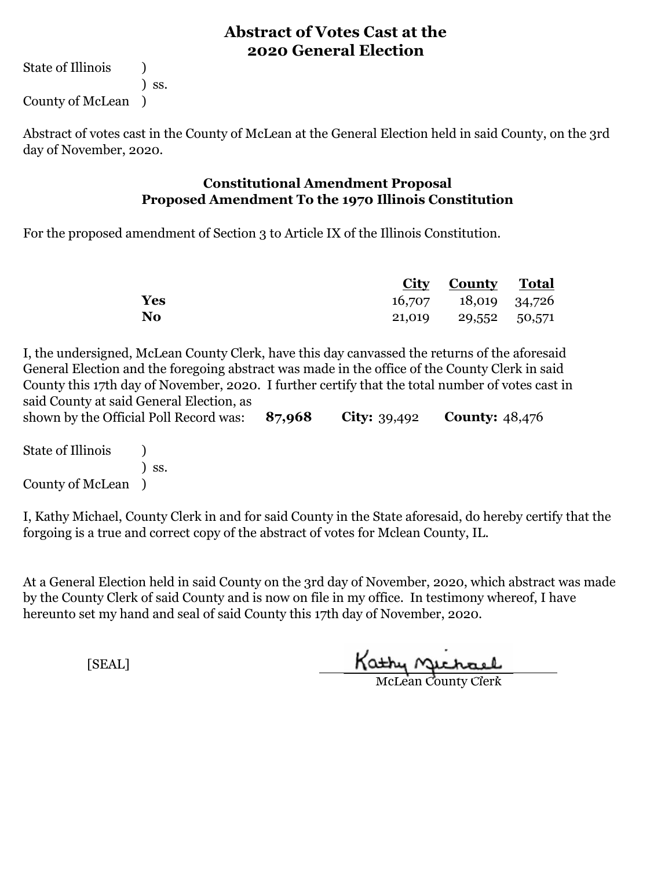State of Illinois (1) ) ss. County of McLean )

Abstract of votes cast in the County of McLean at the General Election held in said County, on the 3rd day of November, 2020.

#### **Constitutional Amendment Proposal Proposed Amendment To the 1970 Illinois Constitution**

For the proposed amendment of Section 3 to Article IX of the Illinois Constitution.

|           | <b>City County Total</b> |  |
|-----------|--------------------------|--|
| Yes       | 16,707 18,019 34,726     |  |
| <b>No</b> | 21,019 29,552 50,571     |  |

**87,968 City:** 39,492 **County:** 48,476 I, the undersigned, McLean County Clerk, have this day canvassed the returns of the aforesaid General Election and the foregoing abstract was made in the office of the County Clerk in said County this 17th day of November, 2020. I further certify that the total number of votes cast in said County at said General Election, as shown by the Official Poll Record was:

State of Illinois (1) ) ss. County of McLean )

I, Kathy Michael, County Clerk in and for said County in the State aforesaid, do hereby certify that the forgoing is a true and correct copy of the abstract of votes for Mclean County, IL.

At a General Election held in said County on the 3rd day of November, 2020, which abstract was made by the County Clerk of said County and is now on file in my office. In testimony whereof, I have hereunto set my hand and seal of said County this 17th day of November, 2020.

Kathy Michael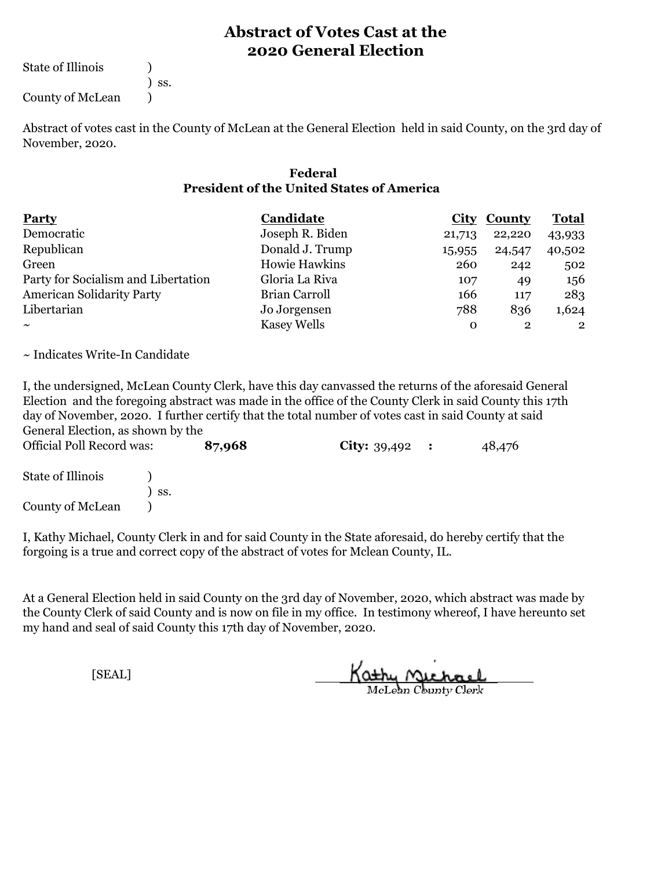State of Illinois (1)

) ss.

County of McLean (1)

Abstract of votes cast in the County of McLean at the General Election held in said County, on the 3rd day of November, 2020.

#### **Federal President of the United States of America**

| Party                               | Candidate          |          | <b>City County</b> | <b>Total</b> |
|-------------------------------------|--------------------|----------|--------------------|--------------|
| Democratic                          | Joseph R. Biden    | 21,713   | 22,220             | 43,933       |
| Republican                          | Donald J. Trump    | 15,955   | 24,547             | 40,502       |
| Green                               | Howie Hawkins      | 260      | 242                | 502          |
| Party for Socialism and Libertation | Gloria La Riva     | 107      | 49                 | 156          |
| <b>American Solidarity Party</b>    | Brian Carroll      | 166      | 117                | 283          |
| Libertarian                         | Jo Jorgensen       | 788      | 836                | 1,624        |
| $\sim$                              | <b>Kasey Wells</b> | $\Omega$ | $\overline{2}$     | $\mathbf{2}$ |

~ Indicates Write-In Candidate

I, the undersigned, McLean County Clerk, have this day canvassed the returns of the aforesaid General Election and the foregoing abstract was made in the office of the County Clerk in said County this 17th day of November, 2020. I further certify that the total number of votes cast in said County at said General Election, as shown by the

**87,968 City:** 39,492 **:** 48,476 State of Illinois (a) ) ss. County of McLean (1) Official Poll Record was:

I, Kathy Michael, County Clerk in and for said County in the State aforesaid, do hereby certify that the forgoing is a true and correct copy of the abstract of votes for Mclean County, IL.

At a General Election held in said County on the 3rd day of November, 2020, which abstract was made by the County Clerk of said County and is now on file in my office. In testimony whereof, I have hereunto set my hand and seal of said County this 17th day of November, 2020.

Kathy Michael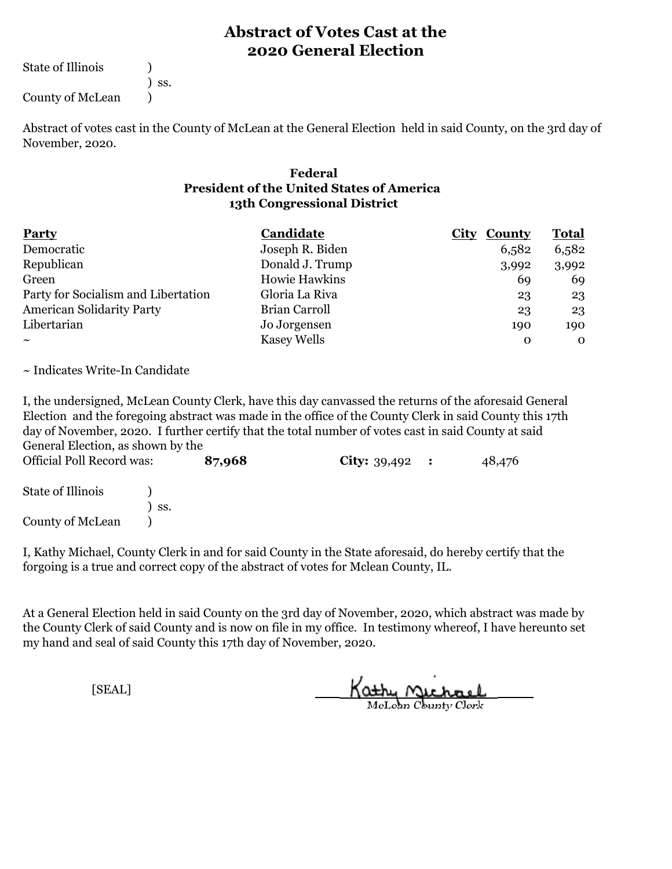State of Illinois (1)

) ss.

County of McLean (1)

Abstract of votes cast in the County of McLean at the General Election held in said County, on the 3rd day of November, 2020.

#### **13th Congressional District Federal President of the United States of America**

| <b>Party</b>                        | Candidate          | <b>City County</b> | <u>Total</u> |
|-------------------------------------|--------------------|--------------------|--------------|
| Democratic                          | Joseph R. Biden    | 6,582              | 6,582        |
| Republican                          | Donald J. Trump    | 3,992              | 3,992        |
| Green                               | Howie Hawkins      | 69                 | 69           |
| Party for Socialism and Libertation | Gloria La Riva     | 23                 | 23           |
| <b>American Solidarity Party</b>    | Brian Carroll      | 23                 | 23           |
| Libertarian                         | Jo Jorgensen       | 190                | 190          |
| $\tilde{\phantom{a}}$               | <b>Kasey Wells</b> | 0                  | $\mathbf 0$  |

~ Indicates Write-In Candidate

I, the undersigned, McLean County Clerk, have this day canvassed the returns of the aforesaid General Election and the foregoing abstract was made in the office of the County Clerk in said County this 17th day of November, 2020. I further certify that the total number of votes cast in said County at said General Election, as shown by the

| <b>Official Poll Record was:</b> |     | 87,968 | <b>City:</b> $39,492$ : | 48,476 |  |
|----------------------------------|-----|--------|-------------------------|--------|--|
| State of Illinois                |     |        |                         |        |  |
|                                  | SS. |        |                         |        |  |
| County of McLean                 |     |        |                         |        |  |

I, Kathy Michael, County Clerk in and for said County in the State aforesaid, do hereby certify that the forgoing is a true and correct copy of the abstract of votes for Mclean County, IL.

At a General Election held in said County on the 3rd day of November, 2020, which abstract was made by the County Clerk of said County and is now on file in my office. In testimony whereof, I have hereunto set my hand and seal of said County this 17th day of November, 2020.

Kathy Michael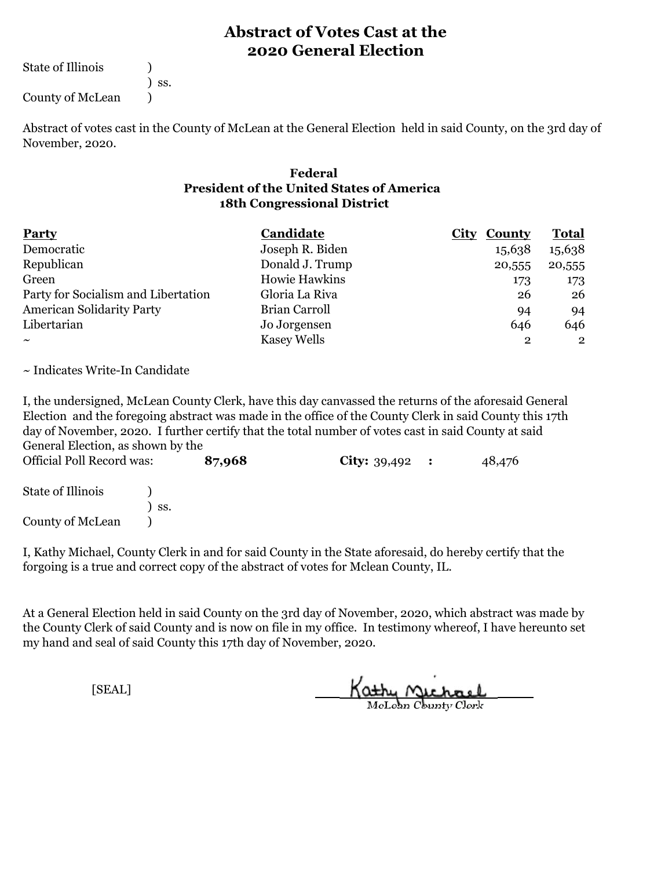State of Illinois (1)

) ss.

County of McLean (1)

Abstract of votes cast in the County of McLean at the General Election held in said County, on the 3rd day of November, 2020.

#### **18th Congressional District Federal President of the United States of America**

| Party                               | Candidate          | <b>City</b><br><b>County</b> | <b>Total</b>   |  |
|-------------------------------------|--------------------|------------------------------|----------------|--|
| Democratic                          | Joseph R. Biden    | 15,638                       | 15,638         |  |
| Republican                          | Donald J. Trump    | 20,555                       | 20,555         |  |
| Green                               | Howie Hawkins      | 173                          | 173            |  |
| Party for Socialism and Libertation | Gloria La Riva     | 26                           | 26             |  |
| <b>American Solidarity Party</b>    | Brian Carroll      | 94                           | 94             |  |
| Libertarian                         | Jo Jorgensen       | 646                          | 646            |  |
| $\sim$                              | <b>Kasey Wells</b> | 2                            | $\overline{2}$ |  |

~ Indicates Write-In Candidate

I, the undersigned, McLean County Clerk, have this day canvassed the returns of the aforesaid General Election and the foregoing abstract was made in the office of the County Clerk in said County this 17th day of November, 2020. I further certify that the total number of votes cast in said County at said General Election, as shown by the

| <b>Official Poll Record was:</b> |     | 87,968 | <b>City:</b> $39,492$ : | 48,476 |  |
|----------------------------------|-----|--------|-------------------------|--------|--|
| State of Illinois                |     |        |                         |        |  |
|                                  | SS. |        |                         |        |  |
| County of McLean                 |     |        |                         |        |  |

I, Kathy Michael, County Clerk in and for said County in the State aforesaid, do hereby certify that the forgoing is a true and correct copy of the abstract of votes for Mclean County, IL.

At a General Election held in said County on the 3rd day of November, 2020, which abstract was made by the County Clerk of said County and is now on file in my office. In testimony whereof, I have hereunto set my hand and seal of said County this 17th day of November, 2020.

Kathy Michael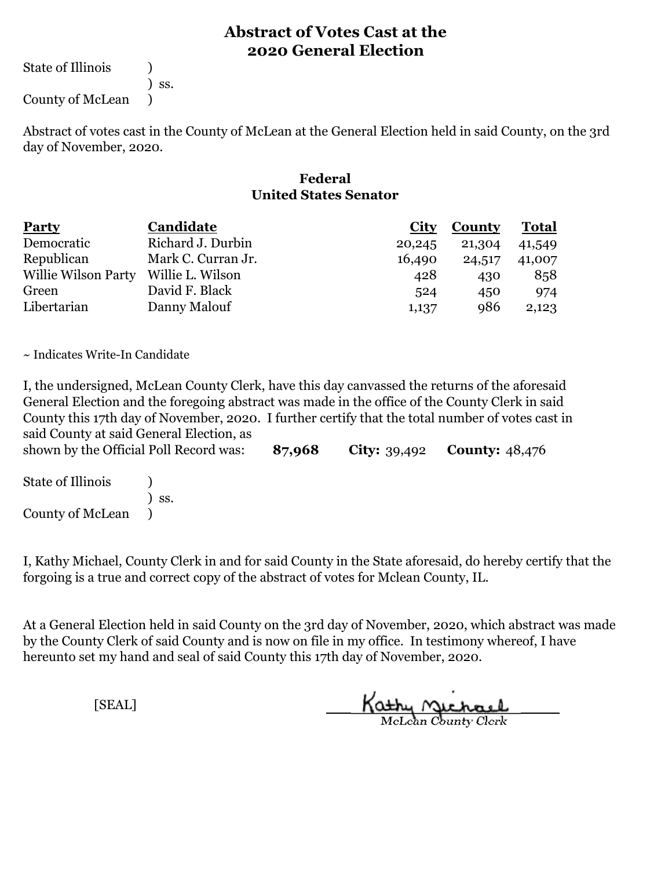State of Illinois (1)

) ss.

County of McLean )

Abstract of votes cast in the County of McLean at the General Election held in said County, on the 3rd day of November, 2020.

#### **Federal United States Senator**

| <b>Party</b>                         | Candidate          | City   | <b>County</b> | <b>Total</b> |
|--------------------------------------|--------------------|--------|---------------|--------------|
| Democratic                           | Richard J. Durbin  | 20,245 | 21,304        | 41,549       |
| Republican                           | Mark C. Curran Jr. | 16,490 | 24,517        | 41,007       |
| Willie Wilson Party Willie L. Wilson |                    | 428    | 430           | 858          |
| Green                                | David F. Black     | 524    | 450           | 974          |
| Libertarian                          | Danny Malouf       | 1,137  | 986           | 2,123        |

~ Indicates Write-In Candidate

I, the undersigned, McLean County Clerk, have this day canvassed the returns of the aforesaid General Election and the foregoing abstract was made in the office of the County Clerk in said County this 17th day of November, 2020. I further certify that the total number of votes cast in said County at said General Election, as

**87,968 City:** 39,492 **County:** 48,476 shown by the Official Poll Record was:

State of Illinois (1) ) ss. County of McLean )

I, Kathy Michael, County Clerk in and for said County in the State aforesaid, do hereby certify that the forgoing is a true and correct copy of the abstract of votes for Mclean County, IL.

At a General Election held in said County on the 3rd day of November, 2020, which abstract was made by the County Clerk of said County and is now on file in my office. In testimony whereof, I have hereunto set my hand and seal of said County this 17th day of November, 2020.

Kathy Michael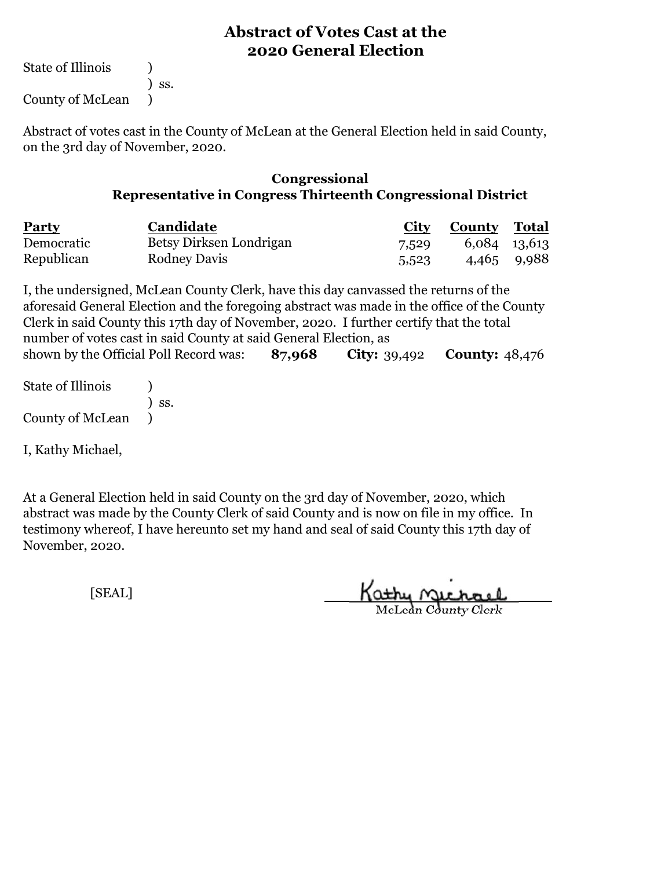State of Illinois (a)

) ss.

County of McLean )

Abstract of votes cast in the County of McLean at the General Election held in said County, on the 3rd day of November, 2020.

#### **Congressional Representative in Congress Thirteenth Congressional District**

| <b>Party</b> | Candidate               | <b>City</b> | <b>County Total</b> |             |
|--------------|-------------------------|-------------|---------------------|-------------|
| Democratic   | Betsy Dirksen Londrigan | 7,529       | 6,084 13,613        |             |
| Republican   | <b>Rodney Davis</b>     | 5,523       |                     | 4,465 9,988 |

**87,968 City:** 39,492 **County:** 48,476 I, the undersigned, McLean County Clerk, have this day canvassed the returns of the aforesaid General Election and the foregoing abstract was made in the office of the County Clerk in said County this 17th day of November, 2020. I further certify that the total number of votes cast in said County at said General Election, as shown by the Official Poll Record was:

State of Illinois (a) ) ss. County of McLean )

I, Kathy Michael,

At a General Election held in said County on the 3rd day of November, 2020, which abstract was made by the County Clerk of said County and is now on file in my office. In testimony whereof, I have hereunto set my hand and seal of said County this 17th day of November, 2020.

Kathy Michael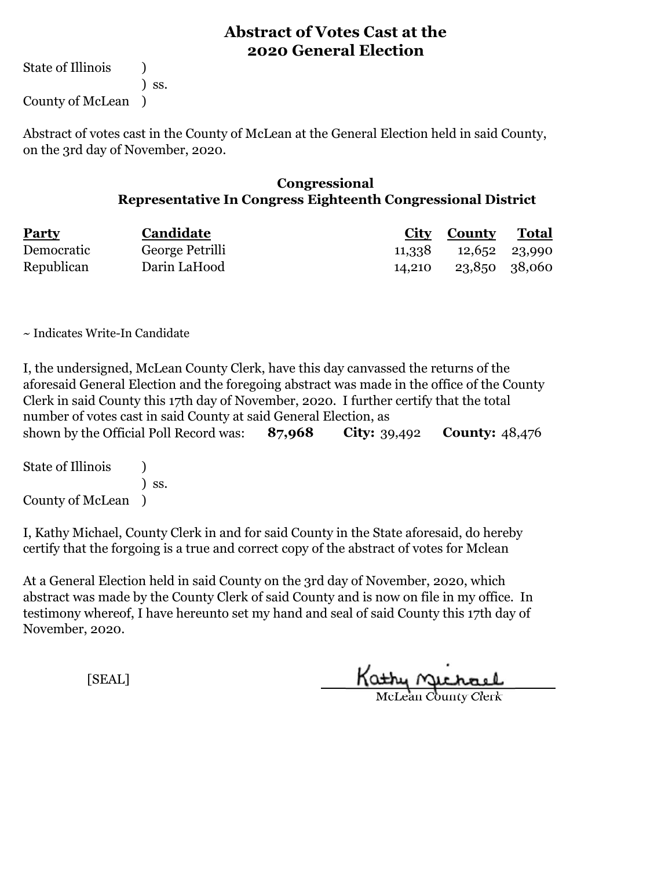State of Illinois (1) ) ss. County of McLean )

Abstract of votes cast in the County of McLean at the General Election held in said County, on the 3rd day of November, 2020.

#### **Congressional Representative In Congress Eighteenth Congressional District**

| <b>Party</b> | Candidate       | City County | <u>Total</u>  |
|--------------|-----------------|-------------|---------------|
| Democratic   | George Petrilli | 11,338      | 12,652 23,990 |
| Republican   | Darin LaHood    | 14.210      | 23,850 38,060 |

~ Indicates Write-In Candidate

**87,968 City:** 39,492 **County:** 48,476 I, the undersigned, McLean County Clerk, have this day canvassed the returns of the aforesaid General Election and the foregoing abstract was made in the office of the County Clerk in said County this 17th day of November, 2020. I further certify that the total number of votes cast in said County at said General Election, as shown by the Official Poll Record was:

| <b>State of Illinois</b> |                              |  |
|--------------------------|------------------------------|--|
|                          | $\overline{\phantom{a}}$ SS. |  |
| County of McLean         |                              |  |

I, Kathy Michael, County Clerk in and for said County in the State aforesaid, do hereby certify that the forgoing is a true and correct copy of the abstract of votes for Mclean

At a General Election held in said County on the 3rd day of November, 2020, which abstract was made by the County Clerk of said County and is now on file in my office. In testimony whereof, I have hereunto set my hand and seal of said County this 17th day of November, 2020.

Kathy Quehael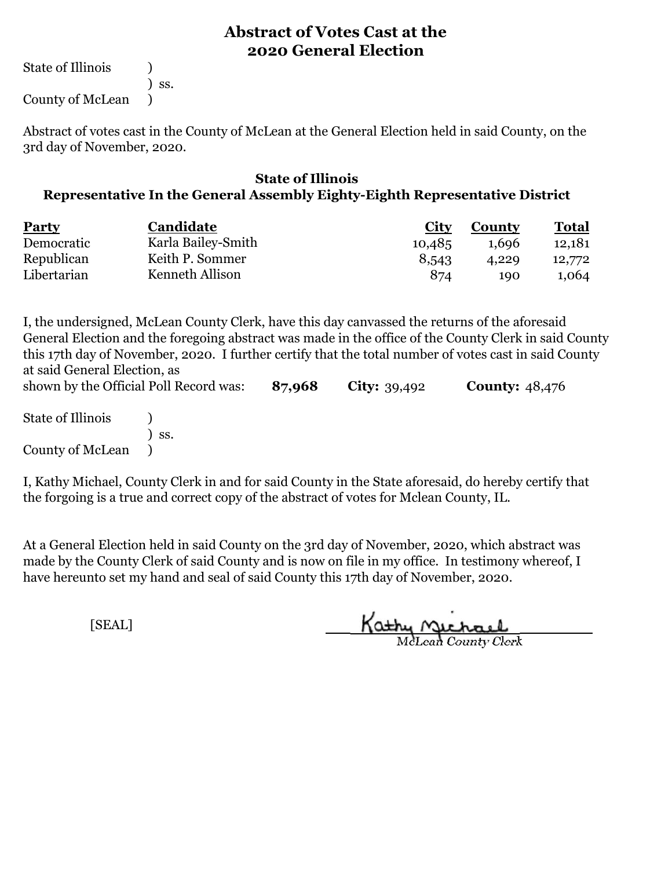State of Illinois (1)

County of McLean )

) ss.

Abstract of votes cast in the County of McLean at the General Election held in said County, on the 3rd day of November, 2020.

#### **State of Illinois Representative In the General Assembly Eighty-Eighth Representative District**

| <b>Party</b> | <b>Candidate</b>   | <b>City</b> | County | Total  |
|--------------|--------------------|-------------|--------|--------|
| Democratic   | Karla Bailey-Smith | 10,485      | 1,696  | 12,181 |
| Republican   | Keith P. Sommer    | 8,543       | 4.229  | 12,772 |
| Libertarian  | Kenneth Allison    | 874         | 190    | 1,064  |

I, the undersigned, McLean County Clerk, have this day canvassed the returns of the aforesaid General Election and the foregoing abstract was made in the office of the County Clerk in said County this 17th day of November, 2020. I further certify that the total number of votes cast in said County at said General Election, as

**87,968 City:** 39,492 **County:** 48,476 State of Illinois (1) ) ss. County of McLean ) shown by the Official Poll Record was:

I, Kathy Michael, County Clerk in and for said County in the State aforesaid, do hereby certify that the forgoing is a true and correct copy of the abstract of votes for Mclean County, IL.

At a General Election held in said County on the 3rd day of November, 2020, which abstract was made by the County Clerk of said County and is now on file in my office. In testimony whereof, I have hereunto set my hand and seal of said County this 17th day of November, 2020.

Kathy Michael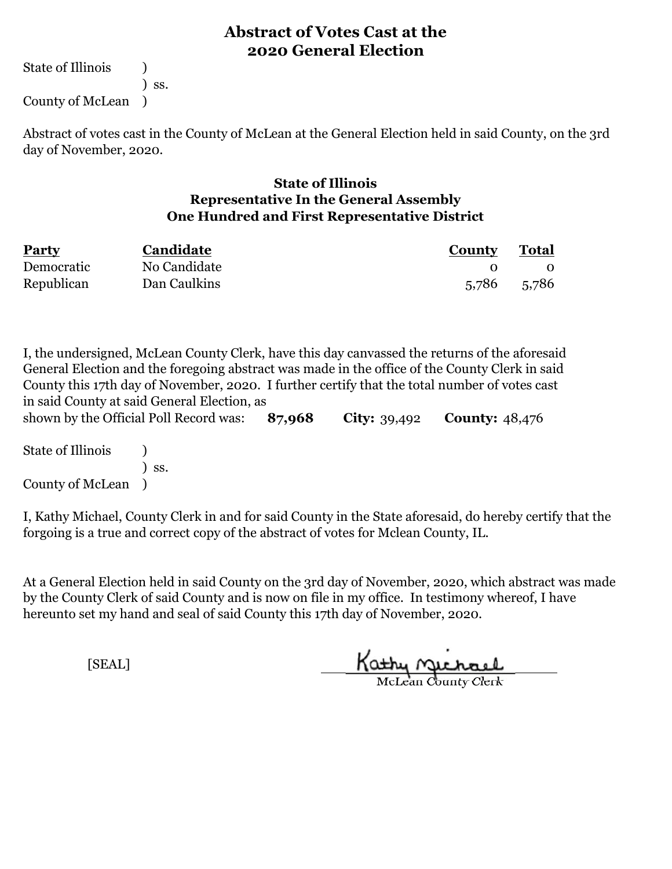State of Illinois (1) ) ss. County of McLean )

Abstract of votes cast in the County of McLean at the General Election held in said County, on the 3rd day of November, 2020.

#### **State of Illinois Representative In the General Assembly One Hundred and First Representative District**

| <b>Party</b> | Candidate    | County      | <b>Total</b> |
|--------------|--------------|-------------|--------------|
| Democratic   | No Candidate |             |              |
| Republican   | Dan Caulkins | 5,786 5,786 |              |

I, the undersigned, McLean County Clerk, have this day canvassed the returns of the aforesaid General Election and the foregoing abstract was made in the office of the County Clerk in said County this 17th day of November, 2020. I further certify that the total number of votes cast in said County at said General Election, as

**87,968 City:** 39,492 **County:** 48,476 shown by the Official Poll Record was:

State of Illinois (a) ) ss. County of McLean )

I, Kathy Michael, County Clerk in and for said County in the State aforesaid, do hereby certify that the forgoing is a true and correct copy of the abstract of votes for Mclean County, IL.

At a General Election held in said County on the 3rd day of November, 2020, which abstract was made by the County Clerk of said County and is now on file in my office. In testimony whereof, I have hereunto set my hand and seal of said County this 17th day of November, 2020.

Kathy Jichael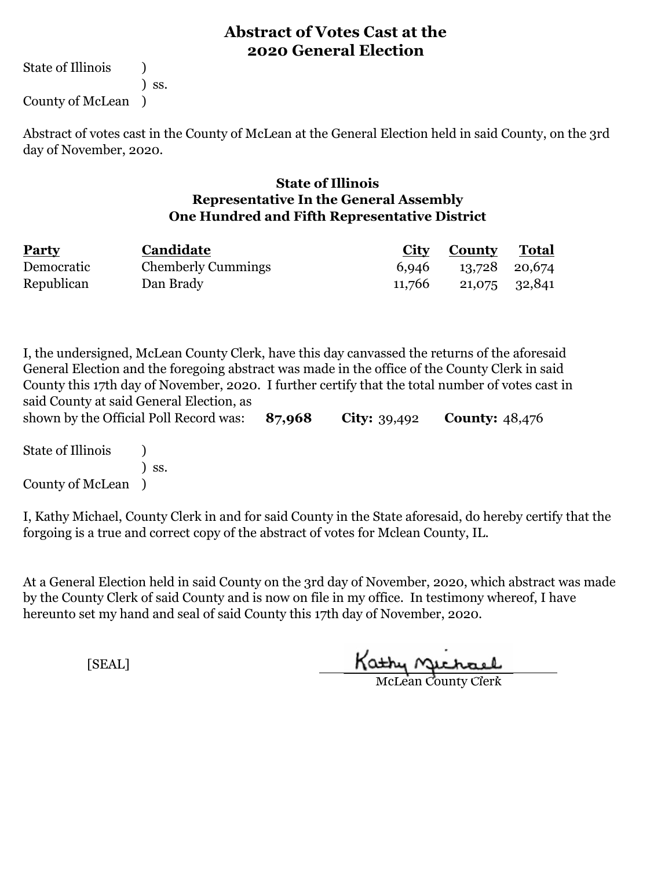State of Illinois (1) ) ss. County of McLean )

Abstract of votes cast in the County of McLean at the General Election held in said County, on the 3rd day of November, 2020.

#### **State of Illinois Representative In the General Assembly One Hundred and Fifth Representative District**

| <b>Party</b> | Candidate                 |        | <b>City County Total</b> |  |
|--------------|---------------------------|--------|--------------------------|--|
| Democratic   | <b>Chemberly Cummings</b> | 6,946  | 13,728 20,674            |  |
| Republican   | Dan Brady                 | 11,766 | 21,075 32,841            |  |

**87,968 City:** 39,492 **County:** 48,476 I, the undersigned, McLean County Clerk, have this day canvassed the returns of the aforesaid General Election and the foregoing abstract was made in the office of the County Clerk in said County this 17th day of November, 2020. I further certify that the total number of votes cast in said County at said General Election, as shown by the Official Poll Record was:

State of Illinois (b) ) ss. County of McLean )

I, Kathy Michael, County Clerk in and for said County in the State aforesaid, do hereby certify that the forgoing is a true and correct copy of the abstract of votes for Mclean County, IL.

At a General Election held in said County on the 3rd day of November, 2020, which abstract was made by the County Clerk of said County and is now on file in my office. In testimony whereof, I have hereunto set my hand and seal of said County this 17th day of November, 2020.

Kathy nichael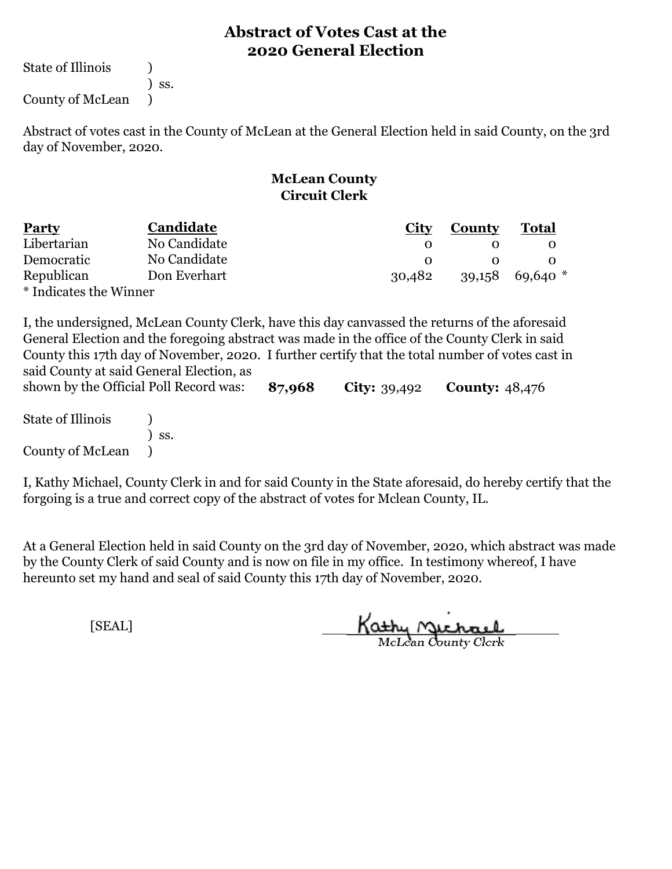State of Illinois (1)

) ss.

County of McLean )

Abstract of votes cast in the County of McLean at the General Election held in said County, on the 3rd day of November, 2020.

## **McLean County Circuit Clerk**

| <b>Party</b>           | Candidate    | City   | <b>County</b> | <b>Total</b>        |
|------------------------|--------------|--------|---------------|---------------------|
| Libertarian            | No Candidate |        |               |                     |
| Democratic             | No Candidate |        |               |                     |
| Republican             | Don Everhart | 30,482 |               | $39,158$ 69,640 $*$ |
| * Indicates the Winner |              |        |               |                     |

I, the undersigned, McLean County Clerk, have this day canvassed the returns of the aforesaid General Election and the foregoing abstract was made in the office of the County Clerk in said County this 17th day of November, 2020. I further certify that the total number of votes cast in said County at said General Election, as

**87,968 City:** 39,492 **County:** 48,476 State of Illinois (1) ) ss. County of McLean ) shown by the Official Poll Record was:

I, Kathy Michael, County Clerk in and for said County in the State aforesaid, do hereby certify that the forgoing is a true and correct copy of the abstract of votes for Mclean County, IL.

At a General Election held in said County on the 3rd day of November, 2020, which abstract was made by the County Clerk of said County and is now on file in my office. In testimony whereof, I have hereunto set my hand and seal of said County this 17th day of November, 2020.

Kathy Michael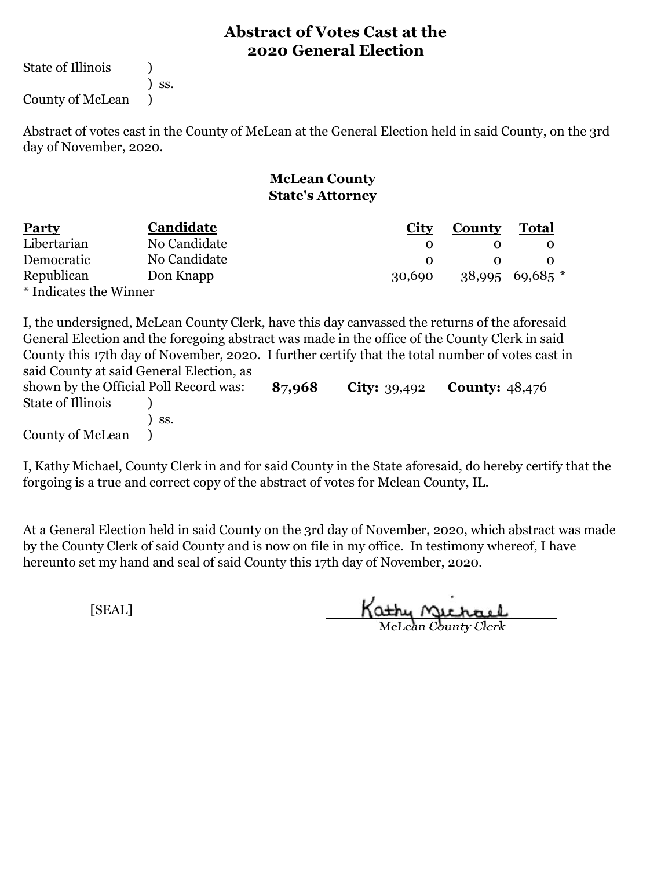State of Illinois (1)

) ss.

County of McLean )

Abstract of votes cast in the County of McLean at the General Election held in said County, on the 3rd day of November, 2020.

#### **McLean County State's Attorney**

| <b>Party</b>           | Candidate    | City   | County | <b>Total</b>        |
|------------------------|--------------|--------|--------|---------------------|
| Libertarian            | No Candidate |        |        |                     |
| Democratic             | No Candidate |        |        |                     |
| Republican             | Don Knapp    | 30,690 |        | $38,995$ 69,685 $*$ |
| * Indicates the Winner |              |        |        |                     |

I, the undersigned, McLean County Clerk, have this day canvassed the returns of the aforesaid General Election and the foregoing abstract was made in the office of the County Clerk in said County this 17th day of November, 2020. I further certify that the total number of votes cast in said County at said General Election, as

| shown by the Official Poll Record was: |              | 87,968 | <b>City:</b> $39,492$ | <b>County:</b> 48,476 |
|----------------------------------------|--------------|--------|-----------------------|-----------------------|
| State of Illinois                      |              |        |                       |                       |
|                                        | $\prime$ ss. |        |                       |                       |
| County of McLean                       |              |        |                       |                       |

I, Kathy Michael, County Clerk in and for said County in the State aforesaid, do hereby certify that the forgoing is a true and correct copy of the abstract of votes for Mclean County, IL.

At a General Election held in said County on the 3rd day of November, 2020, which abstract was made by the County Clerk of said County and is now on file in my office. In testimony whereof, I have hereunto set my hand and seal of said County this 17th day of November, 2020.

Kathy Michael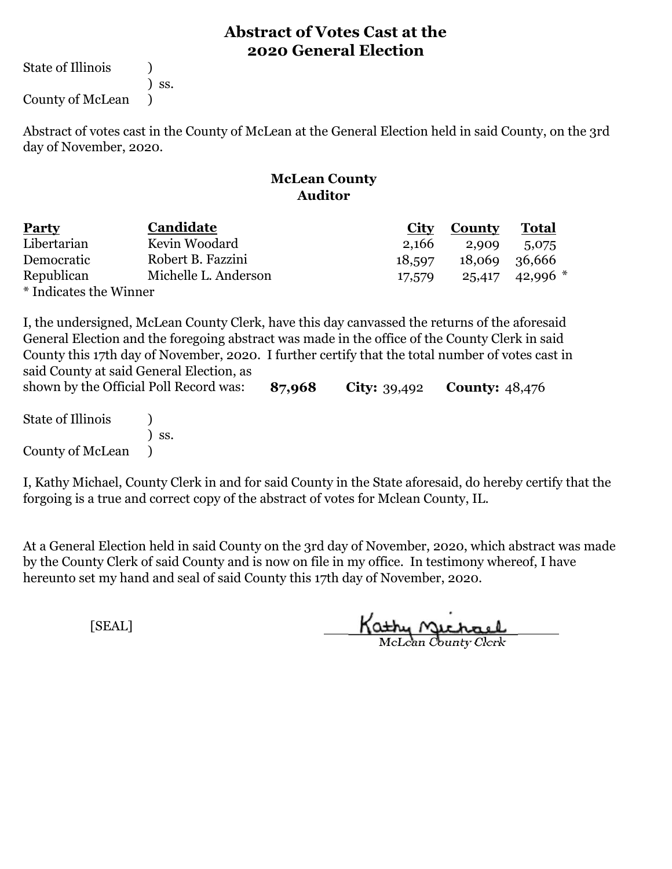State of Illinois (1)

) ss.

County of McLean )

Abstract of votes cast in the County of McLean at the General Election held in said County, on the 3rd day of November, 2020.

#### **McLean County Auditor**

| <b>Party</b>           | Candidate            | City   | County        | <b>Total</b> |
|------------------------|----------------------|--------|---------------|--------------|
| Libertarian            | Kevin Woodard        | 2,166  | 2,909         | 5,075        |
| Democratic             | Robert B. Fazzini    | 18,597 | 18,069 36,666 |              |
| Republican             | Michelle L. Anderson | 17,579 | 25,417        | $42,996$ *   |
| * Indicates the Winner |                      |        |               |              |

I, the undersigned, McLean County Clerk, have this day canvassed the returns of the aforesaid General Election and the foregoing abstract was made in the office of the County Clerk in said County this 17th day of November, 2020. I further certify that the total number of votes cast in said County at said General Election, as

**87,968 City:** 39,492 **County:** 48,476 State of Illinois (1) ) ss. County of McLean ) shown by the Official Poll Record was:

I, Kathy Michael, County Clerk in and for said County in the State aforesaid, do hereby certify that the forgoing is a true and correct copy of the abstract of votes for Mclean County, IL.

At a General Election held in said County on the 3rd day of November, 2020, which abstract was made by the County Clerk of said County and is now on file in my office. In testimony whereof, I have hereunto set my hand and seal of said County this 17th day of November, 2020.

Kathy Michael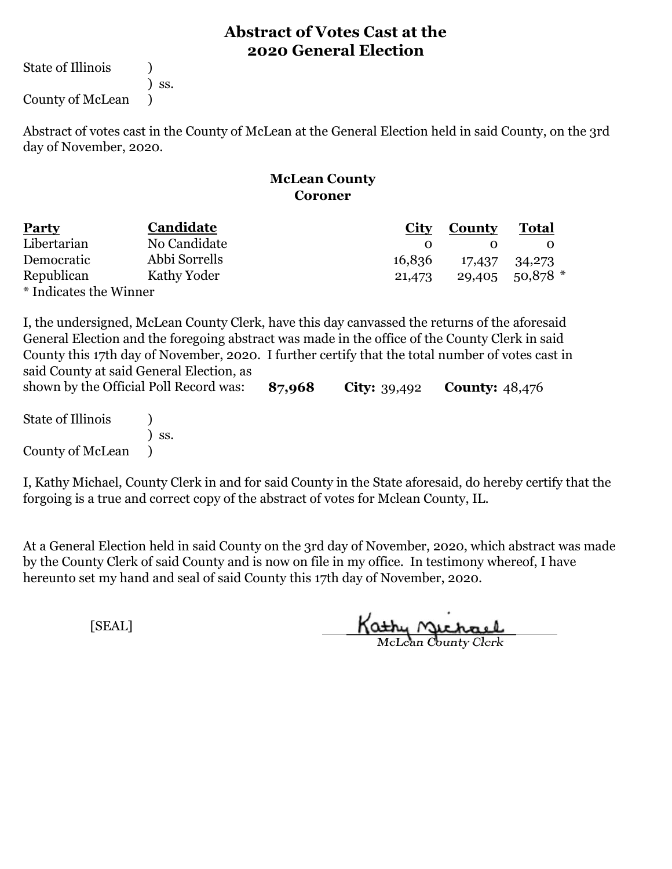State of Illinois (1)

) ss.

County of McLean )

Abstract of votes cast in the County of McLean at the General Election held in said County, on the 3rd day of November, 2020.

#### **McLean County Coroner**

| <b>Party</b>           | Candidate     | <b>City</b> | County        | <b>Total</b>        |
|------------------------|---------------|-------------|---------------|---------------------|
| Libertarian            | No Candidate  |             |               |                     |
| Democratic             | Abbi Sorrells | 16,836      | 17,437 34,273 |                     |
| Republican             | Kathy Yoder   | 21,473      |               | $29,405$ 50,878 $*$ |
| * Indicates the Winner |               |             |               |                     |

I, the undersigned, McLean County Clerk, have this day canvassed the returns of the aforesaid General Election and the foregoing abstract was made in the office of the County Clerk in said County this 17th day of November, 2020. I further certify that the total number of votes cast in said County at said General Election, as

**87,968 City:** 39,492 **County:** 48,476 State of Illinois (1) ) ss. County of McLean ) shown by the Official Poll Record was:

I, Kathy Michael, County Clerk in and for said County in the State aforesaid, do hereby certify that the forgoing is a true and correct copy of the abstract of votes for Mclean County, IL.

At a General Election held in said County on the 3rd day of November, 2020, which abstract was made by the County Clerk of said County and is now on file in my office. In testimony whereof, I have hereunto set my hand and seal of said County this 17th day of November, 2020.

Kathy Michael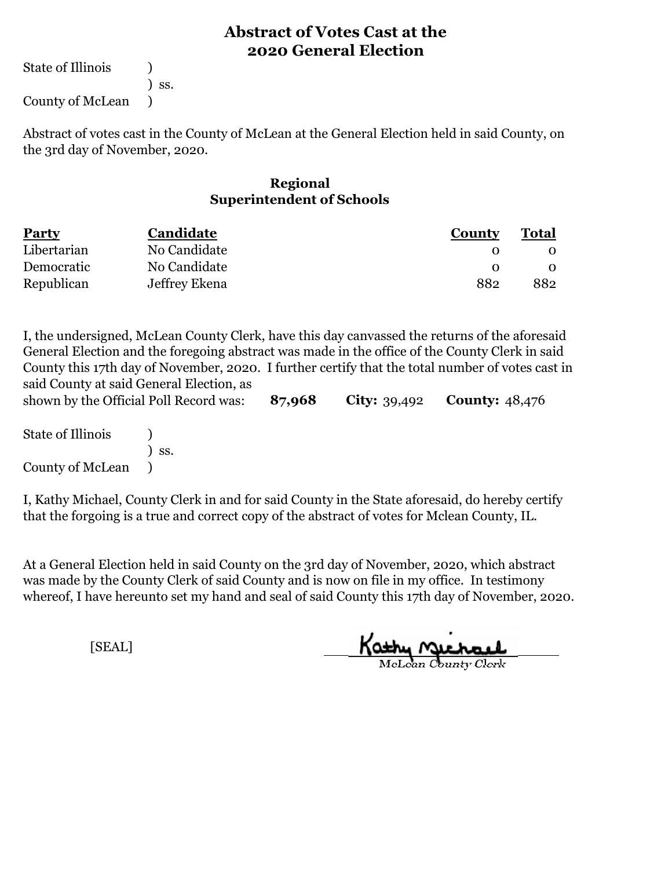State of Illinois (a)

) ss.

County of McLean )

Abstract of votes cast in the County of McLean at the General Election held in said County, on the 3rd day of November, 2020.

#### **Regional Superintendent of Schools**

| <b>Party</b> | Candidate     | <b>County</b> | <b>Total</b> |  |
|--------------|---------------|---------------|--------------|--|
| Libertarian  | No Candidate  |               |              |  |
| Democratic   | No Candidate  |               |              |  |
| Republican   | Jeffrey Ekena | 882           | 882          |  |

I, the undersigned, McLean County Clerk, have this day canvassed the returns of the aforesaid General Election and the foregoing abstract was made in the office of the County Clerk in said County this 17th day of November, 2020. I further certify that the total number of votes cast in said County at said General Election, as

**87,968 City:** 39,492 **County:** 48,476 shown by the Official Poll Record was:

| <b>State of Illinois</b> |                              |
|--------------------------|------------------------------|
|                          | $\overline{\phantom{a}}$ SS. |
| County of McLean         |                              |

I, Kathy Michael, County Clerk in and for said County in the State aforesaid, do hereby certify that the forgoing is a true and correct copy of the abstract of votes for Mclean County, IL.

At a General Election held in said County on the 3rd day of November, 2020, which abstract was made by the County Clerk of said County and is now on file in my office. In testimony whereof, I have hereunto set my hand and seal of said County this 17th day of November, 2020.

<u>Kathy nacha</u>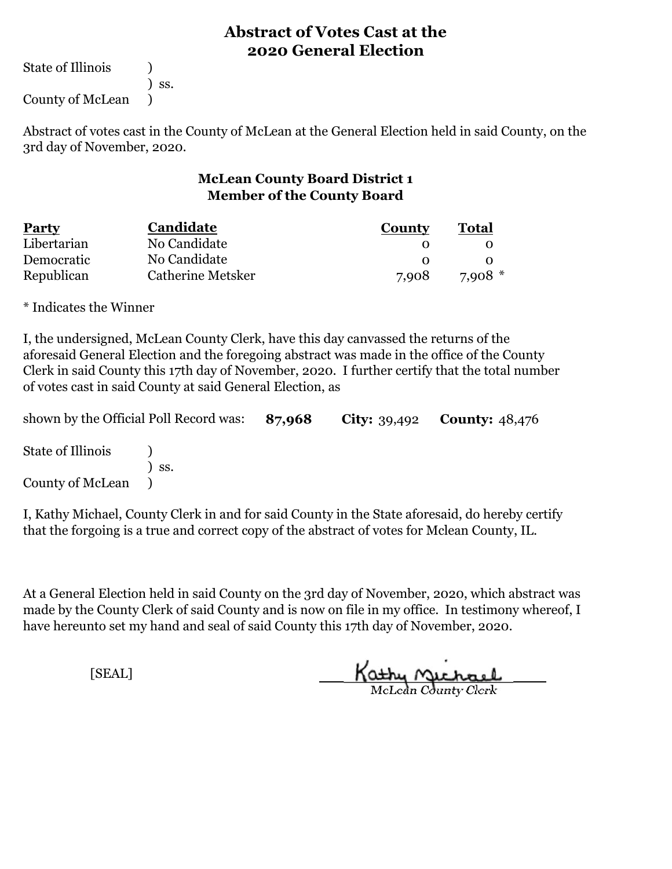State of Illinois (1)

) ss.

County of McLean )

Abstract of votes cast in the County of McLean at the General Election held in said County, on the 3rd day of November, 2020.

#### **McLean County Board District 1 Member of the County Board**

| <b>Party</b> | Candidate         | County | Total    |  |
|--------------|-------------------|--------|----------|--|
| Libertarian  | No Candidate      |        |          |  |
| Democratic   | No Candidate      |        |          |  |
| Republican   | Catherine Metsker | 7.908  | $7.908*$ |  |

\* Indicates the Winner

I, the undersigned, McLean County Clerk, have this day canvassed the returns of the aforesaid General Election and the foregoing abstract was made in the office of the County Clerk in said County this 17th day of November, 2020. I further certify that the total number of votes cast in said County at said General Election, as

| shown by the Official Poll Record was: 87,968 |                  |  | <b>City:</b> 39,492 <b>County:</b> $48,476$ |  |
|-----------------------------------------------|------------------|--|---------------------------------------------|--|
| State of Illinois                             |                  |  |                                             |  |
| County of McLean                              | $\mathsf{S}$ SS. |  |                                             |  |

I, Kathy Michael, County Clerk in and for said County in the State aforesaid, do hereby certify that the forgoing is a true and correct copy of the abstract of votes for Mclean County, IL.

At a General Election held in said County on the 3rd day of November, 2020, which abstract was made by the County Clerk of said County and is now on file in my office. In testimony whereof, I have hereunto set my hand and seal of said County this 17th day of November, 2020.

Kathy Michael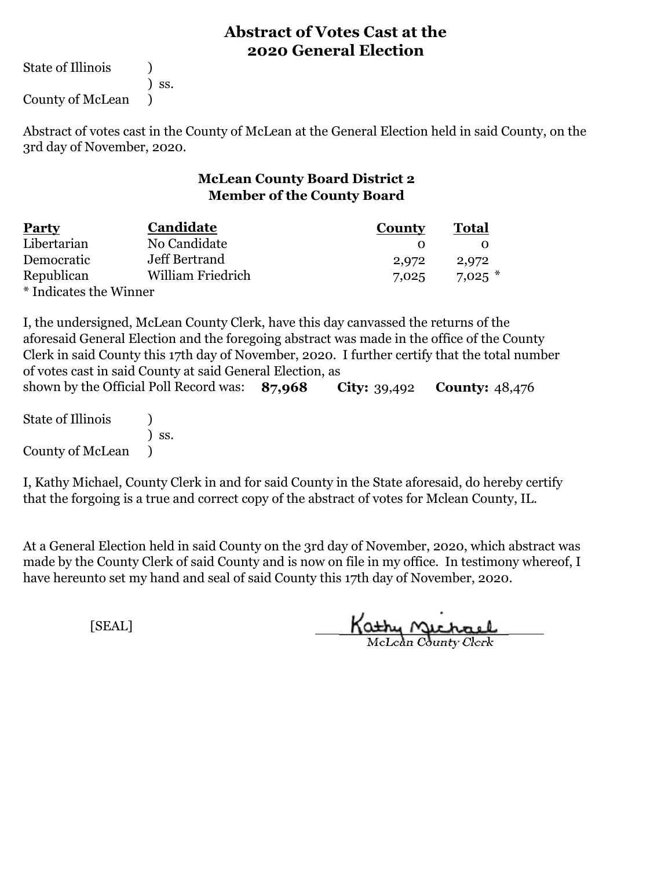State of Illinois (1)

) ss.

County of McLean )

Abstract of votes cast in the County of McLean at the General Election held in said County, on the 3rd day of November, 2020.

# **McLean County Board District 2 Member of the County Board**

| <b>Party</b>           | Candidate         | County | <b>Total</b> |
|------------------------|-------------------|--------|--------------|
| Libertarian            | No Candidate      |        |              |
| Democratic             | Jeff Bertrand     | 2,972  | 2,972        |
| Republican             | William Friedrich | 7,025  | $7.025$ $*$  |
| * Indicates the Winner |                   |        |              |

**87,968 City:** 39,492 **County:** 48,476 I, the undersigned, McLean County Clerk, have this day canvassed the returns of the aforesaid General Election and the foregoing abstract was made in the office of the County Clerk in said County this 17th day of November, 2020. I further certify that the total number of votes cast in said County at said General Election, as shown by the Official Poll Record was: 87.968

State of Illinois (a) ) ss. County of McLean )

I, Kathy Michael, County Clerk in and for said County in the State aforesaid, do hereby certify that the forgoing is a true and correct copy of the abstract of votes for Mclean County, IL.

At a General Election held in said County on the 3rd day of November, 2020, which abstract was made by the County Clerk of said County and is now on file in my office. In testimony whereof, I have hereunto set my hand and seal of said County this 17th day of November, 2020.

Kathy Michael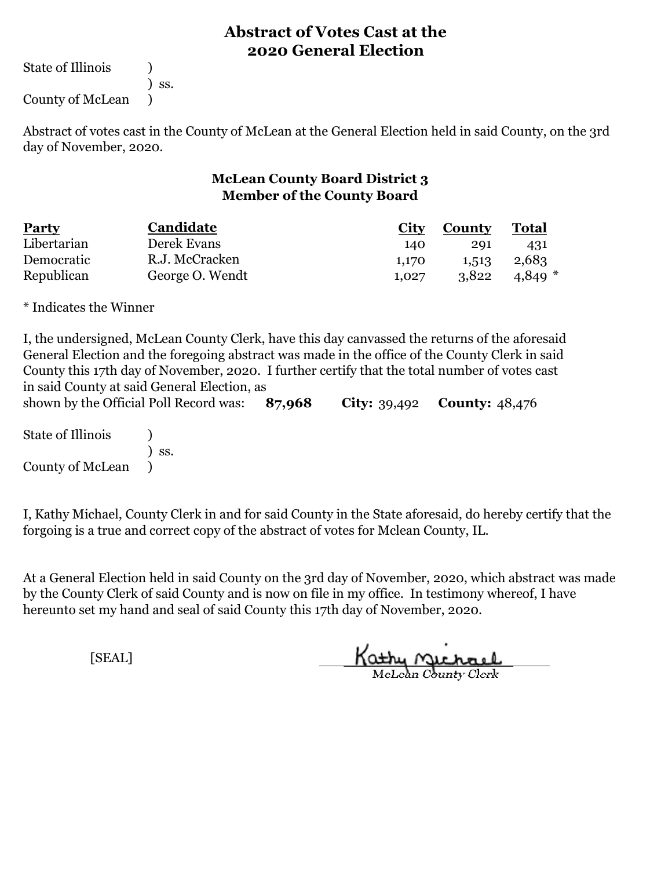State of Illinois (a)

) ss.

County of McLean )

Abstract of votes cast in the County of McLean at the General Election held in said County, on the 3rd day of November, 2020.

#### **McLean County Board District 3 Member of the County Board**

| <b>Party</b> | Candidate       | City  | <b>County</b> | Total       |
|--------------|-----------------|-------|---------------|-------------|
| Libertarian  | Derek Evans     | 140   | 291           | 431         |
| Democratic   | R.J. McCracken  | 1,170 | 1,513         | 2,683       |
| Republican   | George O. Wendt | 1.027 | 3,822         | $4.849$ $*$ |

\* Indicates the Winner

| I, the undersigned, McLean County Clerk, have this day can vassed the returns of the aforesaid<br>General Election and the foregoing abstract was made in the office of the County Clerk in said |                                                                                               |        |  |                                               |  |  |  |
|--------------------------------------------------------------------------------------------------------------------------------------------------------------------------------------------------|-----------------------------------------------------------------------------------------------|--------|--|-----------------------------------------------|--|--|--|
|                                                                                                                                                                                                  | County this 17th day of November, 2020. I further certify that the total number of votes cast |        |  |                                               |  |  |  |
| in said County at said General Election, as                                                                                                                                                      |                                                                                               |        |  |                                               |  |  |  |
| shown by the Official Poll Record was:                                                                                                                                                           |                                                                                               | 87,968 |  | <b>City:</b> $39,492$ <b>County:</b> $48,476$ |  |  |  |
| State of Illinois                                                                                                                                                                                |                                                                                               |        |  |                                               |  |  |  |
|                                                                                                                                                                                                  | $\overline{\phantom{a}}$ SS.                                                                  |        |  |                                               |  |  |  |
| County of McLean (1)                                                                                                                                                                             |                                                                                               |        |  |                                               |  |  |  |

I, Kathy Michael, County Clerk in and for said County in the State aforesaid, do hereby certify that the forgoing is a true and correct copy of the abstract of votes for Mclean County, IL.

At a General Election held in said County on the 3rd day of November, 2020, which abstract was made by the County Clerk of said County and is now on file in my office. In testimony whereof, I have hereunto set my hand and seal of said County this 17th day of November, 2020.

Kathy Quehael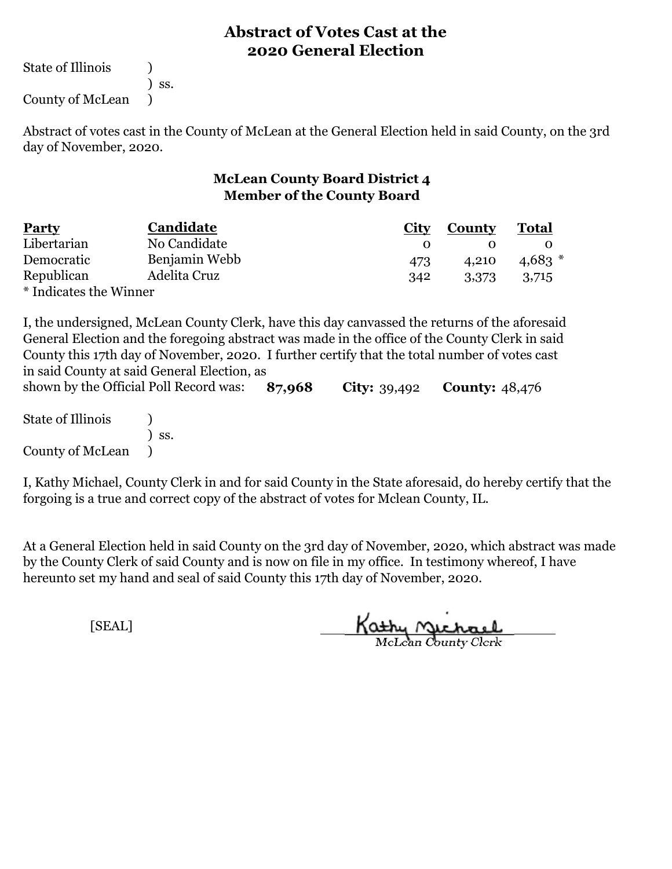State of Illinois (1)

) ss.

County of McLean )

Abstract of votes cast in the County of McLean at the General Election held in said County, on the 3rd day of November, 2020.

#### **McLean County Board District 4 Member of the County Board**

| <b>Party</b>           | Candidate     | City | County | <b>Total</b> |
|------------------------|---------------|------|--------|--------------|
| Libertarian            | No Candidate  |      |        |              |
| Democratic             | Benjamin Webb | 473  | 4.210  | $4.683*$     |
| Republican             | Adelita Cruz  | 342  | 3,373  | 3,715        |
| * Indicates the Winner |               |      |        |              |

I, the undersigned, McLean County Clerk, have this day canvassed the returns of the aforesaid General Election and the foregoing abstract was made in the office of the County Clerk in said County this 17th day of November, 2020. I further certify that the total number of votes cast in said County at said General Election, as

**87,968 City:** 39,492 **County:** 48,476 State of Illinois (1) ) ss. County of McLean ) shown by the Official Poll Record was: 87,968

I, Kathy Michael, County Clerk in and for said County in the State aforesaid, do hereby certify that the forgoing is a true and correct copy of the abstract of votes for Mclean County, IL.

At a General Election held in said County on the 3rd day of November, 2020, which abstract was made by the County Clerk of said County and is now on file in my office. In testimony whereof, I have hereunto set my hand and seal of said County this 17th day of November, 2020.

Kathy Michael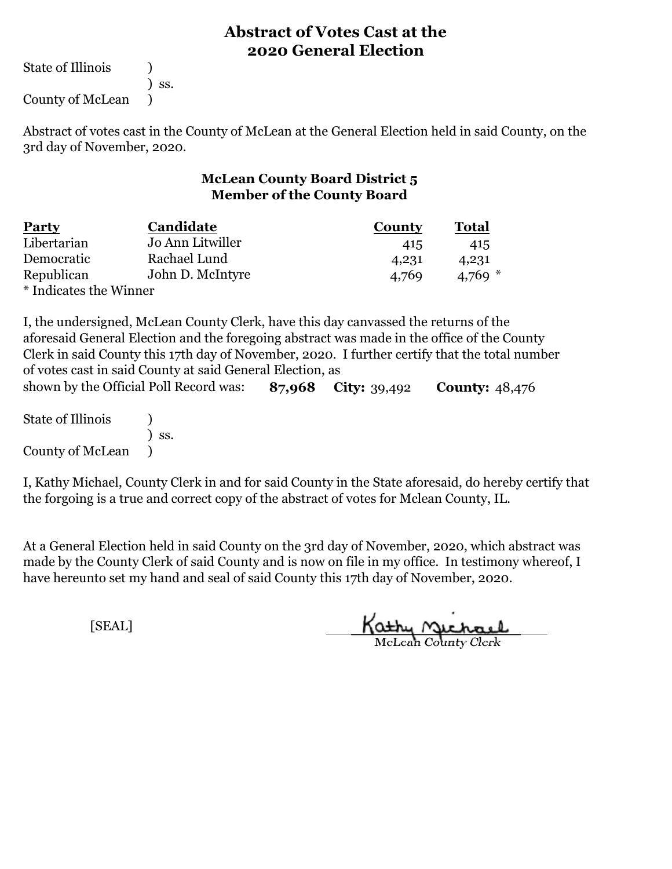State of Illinois (1)

) ss.

County of McLean )

Abstract of votes cast in the County of McLean at the General Election held in said County, on the 3rd day of November, 2020.

#### **McLean County Board District 5 Member of the County Board**

| <b>Party</b>           | Candidate        | County | <b>Total</b> |
|------------------------|------------------|--------|--------------|
| Libertarian            | Jo Ann Litwiller | 415    | 415          |
| Democratic             | Rachael Lund     | 4,231  | 4,231        |
| Republican             | John D. McIntyre | 4,769  | 4,769 $*$    |
| * Indicates the Winner |                  |        |              |

**87,968 City:** 39,492 **County:** 48,476 I, the undersigned, McLean County Clerk, have this day canvassed the returns of the aforesaid General Election and the foregoing abstract was made in the office of the County Clerk in said County this 17th day of November, 2020. I further certify that the total number of votes cast in said County at said General Election, as shown by the Official Poll Record was:

State of Illinois (1) ) ss. County of McLean )

I, Kathy Michael, County Clerk in and for said County in the State aforesaid, do hereby certify that the forgoing is a true and correct copy of the abstract of votes for Mclean County, IL.

At a General Election held in said County on the 3rd day of November, 2020, which abstract was made by the County Clerk of said County and is now on file in my office. In testimony whereof, I have hereunto set my hand and seal of said County this 17th day of November, 2020.

Kathy Michael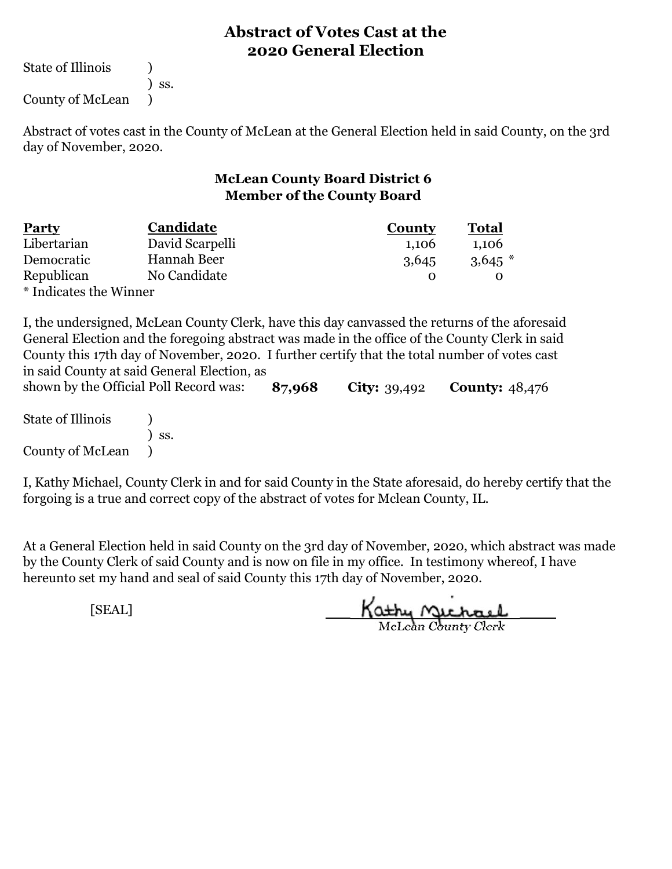State of Illinois (1)

) ss.

County of McLean )

Abstract of votes cast in the County of McLean at the General Election held in said County, on the 3rd day of November, 2020.

#### **McLean County Board District 6 Member of the County Board**

| <b>Party</b>           | Candidate       | <b>County</b> | Total     |
|------------------------|-----------------|---------------|-----------|
| Libertarian            | David Scarpelli | 1,106         | 1,106     |
| Democratic             | Hannah Beer     | 3,645         | $3,645$ * |
| Republican             | No Candidate    |               |           |
| * Indicates the Winner |                 |               |           |

I, the undersigned, McLean County Clerk, have this day canvassed the returns of the aforesaid General Election and the foregoing abstract was made in the office of the County Clerk in said County this 17th day of November, 2020. I further certify that the total number of votes cast in said County at said General Election, as

**87,968 City:** 39,492 **County:** 48,476 State of Illinois (1) ) ss. County of McLean ) shown by the Official Poll Record was:

I, Kathy Michael, County Clerk in and for said County in the State aforesaid, do hereby certify that the forgoing is a true and correct copy of the abstract of votes for Mclean County, IL.

At a General Election held in said County on the 3rd day of November, 2020, which abstract was made by the County Clerk of said County and is now on file in my office. In testimony whereof, I have hereunto set my hand and seal of said County this 17th day of November, 2020.

Kathy Michael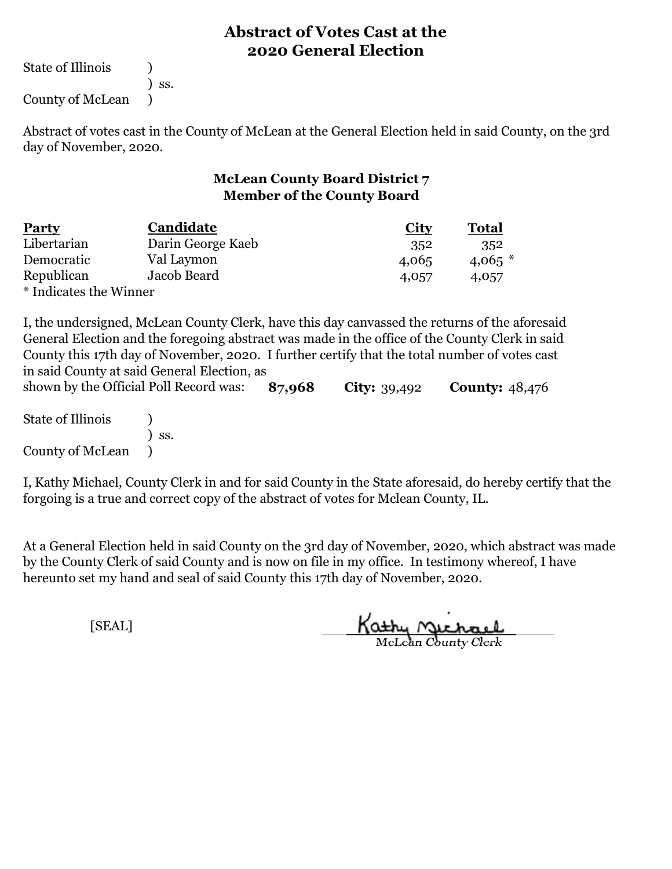State of Illinois (1)

) ss.

County of McLean )

Abstract of votes cast in the County of McLean at the General Election held in said County, on the 3rd day of November, 2020.

#### **McLean County Board District 7 Member of the County Board**

| <b>Party</b>           | Candidate         | <b>City</b> | <b>Total</b> |
|------------------------|-------------------|-------------|--------------|
| Libertarian            | Darin George Kaeb | 352         | 352          |
| Democratic             | Val Laymon        | 4,065       | $4,065$ *    |
| Republican             | Jacob Beard       | 4,057       | 4,057        |
| * Indicates the Winner |                   |             |              |

I, the undersigned, McLean County Clerk, have this day canvassed the returns of the aforesaid General Election and the foregoing abstract was made in the office of the County Clerk in said County this 17th day of November, 2020. I further certify that the total number of votes cast in said County at said General Election, as

**87,968 City:** 39,492 **County:** 48,476 State of Illinois (1) ) ss. County of McLean ) shown by the Official Poll Record was: 87,968

I, Kathy Michael, County Clerk in and for said County in the State aforesaid, do hereby certify that the forgoing is a true and correct copy of the abstract of votes for Mclean County, IL.

At a General Election held in said County on the 3rd day of November, 2020, which abstract was made by the County Clerk of said County and is now on file in my office. In testimony whereof, I have hereunto set my hand and seal of said County this 17th day of November, 2020.

Kathy Quehael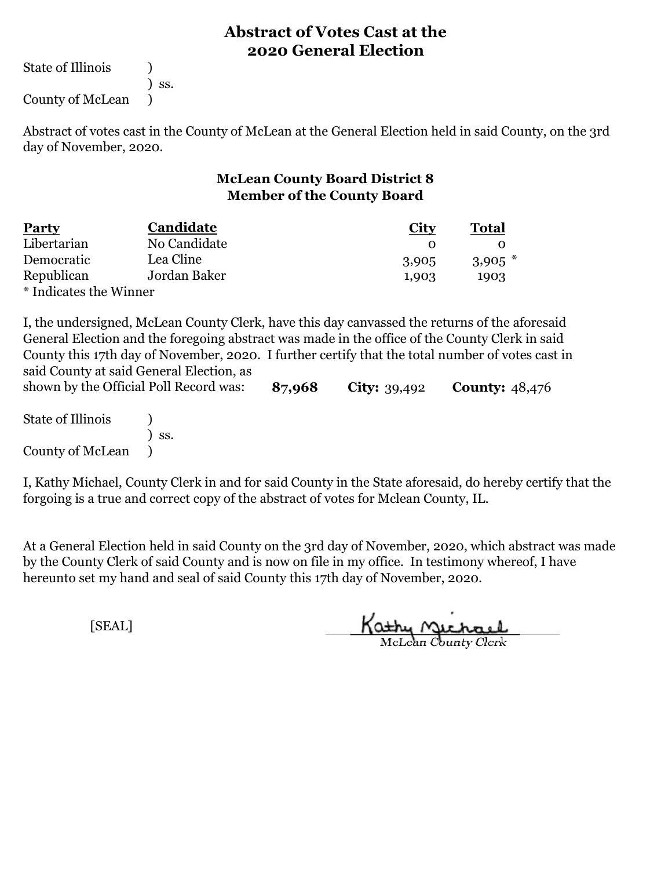State of Illinois (1)

) ss.

County of McLean )

Abstract of votes cast in the County of McLean at the General Election held in said County, on the 3rd day of November, 2020.

## **McLean County Board District 8 Member of the County Board**

| <b>Party</b>           | Candidate    | <b>City</b> | <b>Total</b> |
|------------------------|--------------|-------------|--------------|
| Libertarian            | No Candidate |             |              |
| Democratic             | Lea Cline    | 3,905       | $3,905$ *    |
| Republican             | Jordan Baker | 1,903       | 1903         |
| * Indicates the Winner |              |             |              |

I, the undersigned, McLean County Clerk, have this day canvassed the returns of the aforesaid General Election and the foregoing abstract was made in the office of the County Clerk in said County this 17th day of November, 2020. I further certify that the total number of votes cast in said County at said General Election, as

**87,968 City:** 39,492 **County:** 48,476 State of Illinois (1) ) ss. County of McLean ) shown by the Official Poll Record was:

I, Kathy Michael, County Clerk in and for said County in the State aforesaid, do hereby certify that the forgoing is a true and correct copy of the abstract of votes for Mclean County, IL.

At a General Election held in said County on the 3rd day of November, 2020, which abstract was made by the County Clerk of said County and is now on file in my office. In testimony whereof, I have hereunto set my hand and seal of said County this 17th day of November, 2020.

Kathy Michael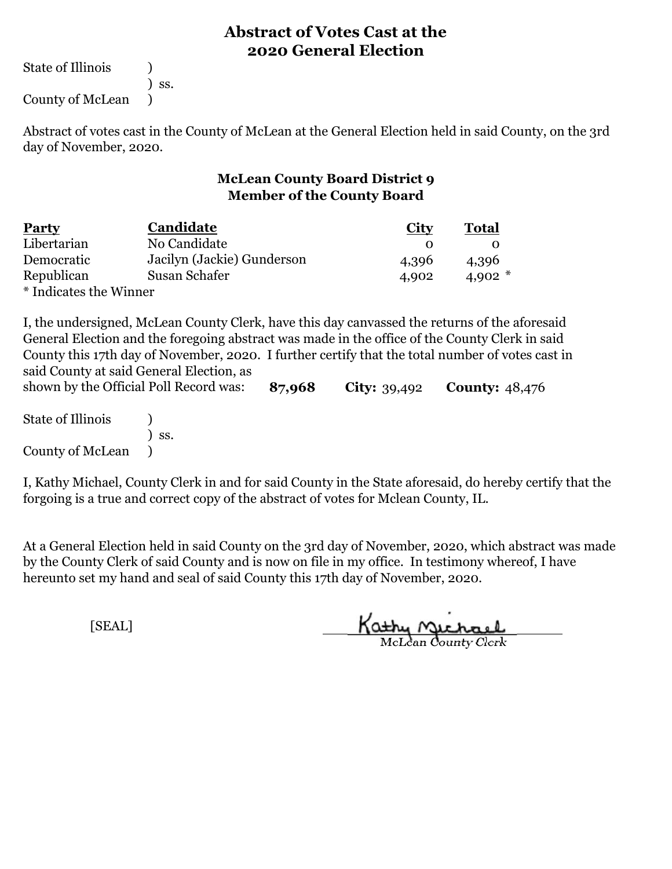State of Illinois (1)

) ss.

County of McLean )

Abstract of votes cast in the County of McLean at the General Election held in said County, on the 3rd day of November, 2020.

#### **McLean County Board District 9 Member of the County Board**

| <b>Party</b>           | Candidate                  | <b>City</b> | <b>Total</b> |  |
|------------------------|----------------------------|-------------|--------------|--|
| Libertarian            | No Candidate               |             |              |  |
| Democratic             | Jacilyn (Jackie) Gunderson | 4,396       | 4,396        |  |
| Republican             | Susan Schafer              | 4,902       | 4,902 $*$    |  |
| * Indicates the Winner |                            |             |              |  |

I, the undersigned, McLean County Clerk, have this day canvassed the returns of the aforesaid General Election and the foregoing abstract was made in the office of the County Clerk in said County this 17th day of November, 2020. I further certify that the total number of votes cast in said County at said General Election, as

**87,968 City:** 39,492 **County:** 48,476 State of Illinois (1) ) ss. County of McLean ) shown by the Official Poll Record was:

I, Kathy Michael, County Clerk in and for said County in the State aforesaid, do hereby certify that the forgoing is a true and correct copy of the abstract of votes for Mclean County, IL.

At a General Election held in said County on the 3rd day of November, 2020, which abstract was made by the County Clerk of said County and is now on file in my office. In testimony whereof, I have hereunto set my hand and seal of said County this 17th day of November, 2020.

Kathy Michael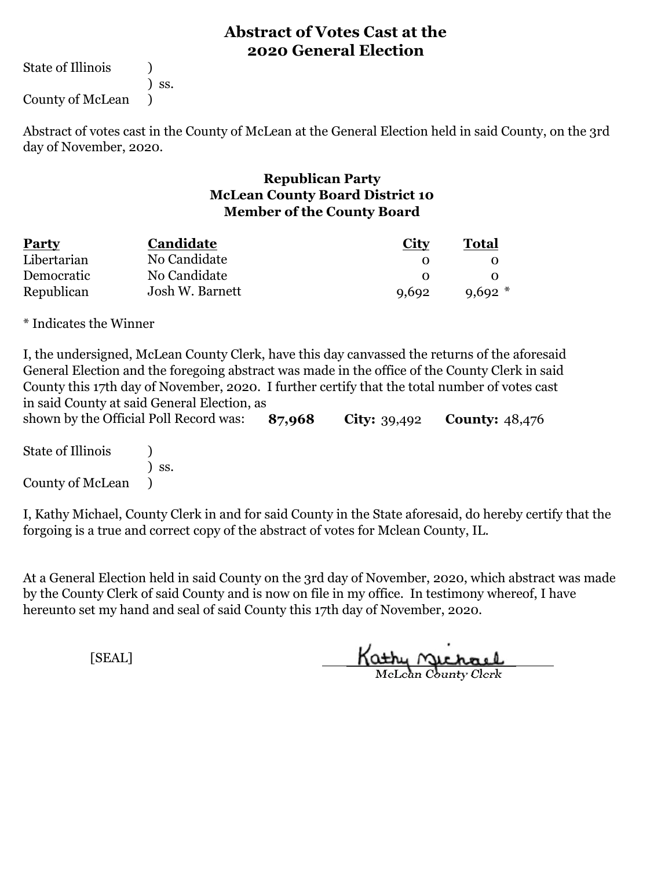State of Illinois (1)

) ss.

County of McLean )

Abstract of votes cast in the County of McLean at the General Election held in said County, on the 3rd day of November, 2020.

#### **Republican Party McLean County Board District 10 Member of the County Board**

| <b>Party</b> | <b>Candidate</b> | <b>City</b> | Total       |  |
|--------------|------------------|-------------|-------------|--|
| Libertarian  | No Candidate     |             |             |  |
| Democratic   | No Candidate     |             |             |  |
| Republican   | Josh W. Barnett  | 9,692       | $9.692$ $*$ |  |

\* Indicates the Winner

**87,968 City:** 39,492 **County:** 48,476 I, the undersigned, McLean County Clerk, have this day canvassed the returns of the aforesaid General Election and the foregoing abstract was made in the office of the County Clerk in said County this 17th day of November, 2020. I further certify that the total number of votes cast in said County at said General Election, as shown by the Official Poll Record was:

State of Illinois (1) ) ss. County of McLean )

I, Kathy Michael, County Clerk in and for said County in the State aforesaid, do hereby certify that the forgoing is a true and correct copy of the abstract of votes for Mclean County, IL.

At a General Election held in said County on the 3rd day of November, 2020, which abstract was made by the County Clerk of said County and is now on file in my office. In testimony whereof, I have hereunto set my hand and seal of said County this 17th day of November, 2020.

Kathy Michael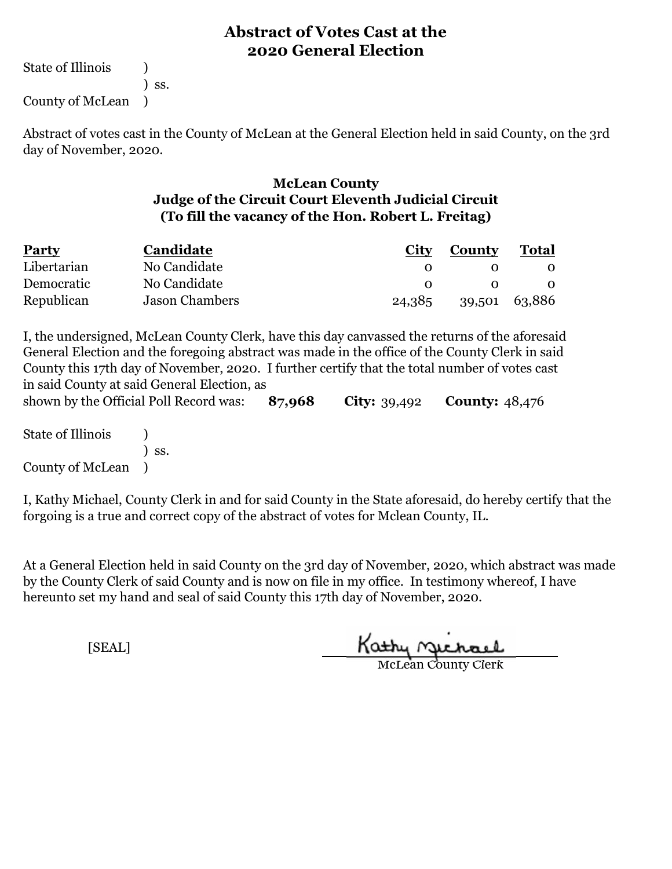State of Illinois (1) ) ss. County of McLean )

Abstract of votes cast in the County of McLean at the General Election held in said County, on the 3rd day of November, 2020.

#### **McLean County Judge of the Circuit Court Eleventh Judicial Circuit (To fill the vacancy of the Hon. Robert L. Freitag)**

| <b>Party</b> | <b>Candidate</b> | City   | County        | <b>Total</b> |
|--------------|------------------|--------|---------------|--------------|
| Libertarian  | No Candidate     |        |               |              |
| Democratic   | No Candidate     |        |               |              |
| Republican   | Jason Chambers   | 24,385 | 39,501 63,886 |              |

**87,968 City:** 39,492 **County:** 48,476 I, the undersigned, McLean County Clerk, have this day canvassed the returns of the aforesaid General Election and the foregoing abstract was made in the office of the County Clerk in said County this 17th day of November, 2020. I further certify that the total number of votes cast in said County at said General Election, as shown by the Official Poll Record was:

State of Illinois (1) ) ss. County of McLean )

I, Kathy Michael, County Clerk in and for said County in the State aforesaid, do hereby certify that the forgoing is a true and correct copy of the abstract of votes for Mclean County, IL.

At a General Election held in said County on the 3rd day of November, 2020, which abstract was made by the County Clerk of said County and is now on file in my office. In testimony whereof, I have hereunto set my hand and seal of said County this 17th day of November, 2020.

Kathy Michael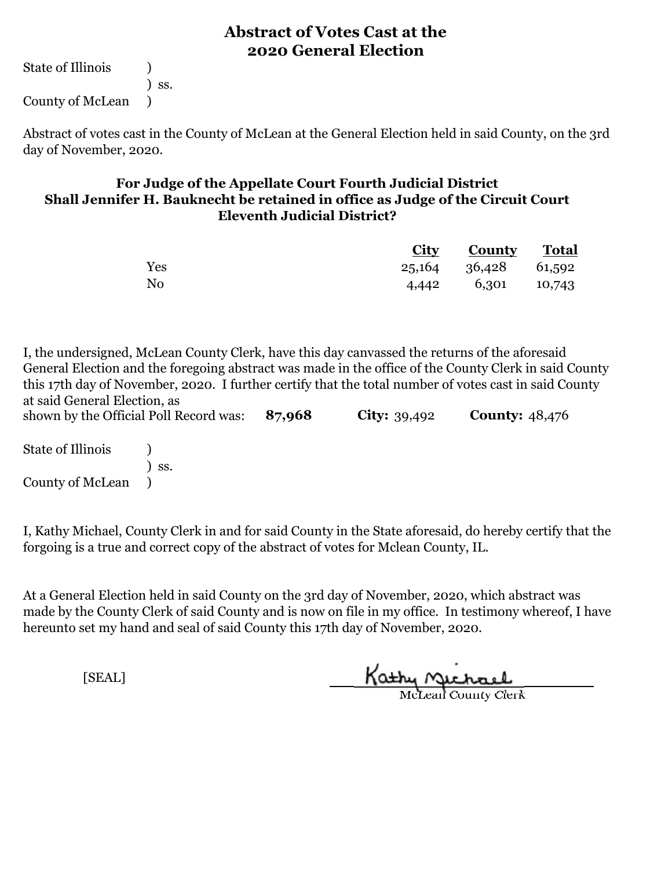State of Illinois (a) ) ss. County of McLean )

Abstract of votes cast in the County of McLean at the General Election held in said County, on the 3rd day of November, 2020.

#### **For Judge of the Appellate Court Fourth Judicial District Shall Jennifer H. Bauknecht be retained in office as Judge of the Circuit Court Eleventh Judicial District?**

|     | <b>City County Total</b> |  |
|-----|--------------------------|--|
| Yes | 25,164 36,428 61,592     |  |
| No  | 4,442 6,301 10,743       |  |

**87,968 City:** 39,492 **County:** 48,476 I, the undersigned, McLean County Clerk, have this day canvassed the returns of the aforesaid General Election and the foregoing abstract was made in the office of the County Clerk in said County this 17th day of November, 2020. I further certify that the total number of votes cast in said County at said General Election, as shown by the Official Poll Record was:

State of Illinois (a) ) ss. County of McLean )

I, Kathy Michael, County Clerk in and for said County in the State aforesaid, do hereby certify that the forgoing is a true and correct copy of the abstract of votes for Mclean County, IL.

At a General Election held in said County on the 3rd day of November, 2020, which abstract was made by the County Clerk of said County and is now on file in my office. In testimony whereof, I have hereunto set my hand and seal of said County this 17th day of November, 2020.

Kathy Michael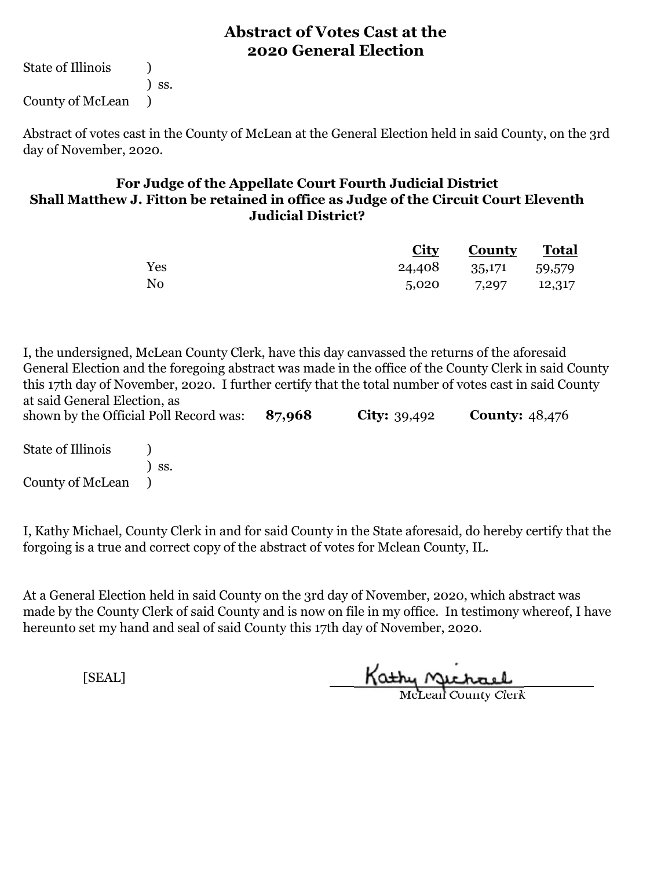State of Illinois (a) ) ss. County of McLean )

Abstract of votes cast in the County of McLean at the General Election held in said County, on the 3rd day of November, 2020.

#### **For Judge of the Appellate Court Fourth Judicial District Shall Matthew J. Fitton be retained in office as Judge of the Circuit Court Eleventh Judicial District?**

|                |                      | <b>City County Total</b> |  |
|----------------|----------------------|--------------------------|--|
| Yes            | 24,408 35,171 59,579 |                          |  |
| N <sub>0</sub> |                      | $5,020$ $7,297$ $12,317$ |  |

**87,968 City:** 39,492 **County:** 48,476 I, the undersigned, McLean County Clerk, have this day canvassed the returns of the aforesaid General Election and the foregoing abstract was made in the office of the County Clerk in said County this 17th day of November, 2020. I further certify that the total number of votes cast in said County at said General Election, as shown by the Official Poll Record was:

State of Illinois (a) ) ss. County of McLean )

I, Kathy Michael, County Clerk in and for said County in the State aforesaid, do hereby certify that the forgoing is a true and correct copy of the abstract of votes for Mclean County, IL.

At a General Election held in said County on the 3rd day of November, 2020, which abstract was made by the County Clerk of said County and is now on file in my office. In testimony whereof, I have hereunto set my hand and seal of said County this 17th day of November, 2020.

Kathy Michael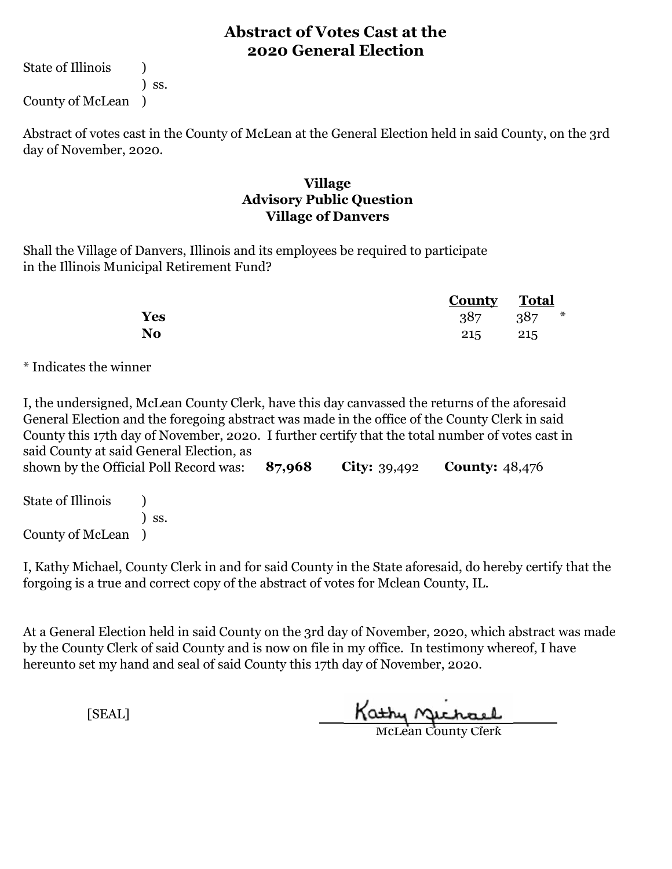State of Illinois (1) ) ss.

County of McLean )

Abstract of votes cast in the County of McLean at the General Election held in said County, on the 3rd day of November, 2020.

#### **Village Advisory Public Question Village of Danvers**

Shall the Village of Danvers, Illinois and its employees be required to participate in the Illinois Municipal Retirement Fund?

|     | <b>County</b> Total |               |
|-----|---------------------|---------------|
| Yes |                     | $387 \t387$ * |
| No  | 215 215             |               |

\* Indicates the winner

I, the undersigned, McLean County Clerk, have this day canvassed the returns of the aforesaid General Election and the foregoing abstract was made in the office of the County Clerk in said County this 17th day of November, 2020. I further certify that the total number of votes cast in said County at said General Election, as

**87,968 City:** 39,492 **County:** 48,476 State of Illinois (a) ) ss. shown by the Official Poll Record was:

County of McLean )

I, Kathy Michael, County Clerk in and for said County in the State aforesaid, do hereby certify that the forgoing is a true and correct copy of the abstract of votes for Mclean County, IL.

At a General Election held in said County on the 3rd day of November, 2020, which abstract was made by the County Clerk of said County and is now on file in my office. In testimony whereof, I have hereunto set my hand and seal of said County this 17th day of November, 2020.

Kathy Michael